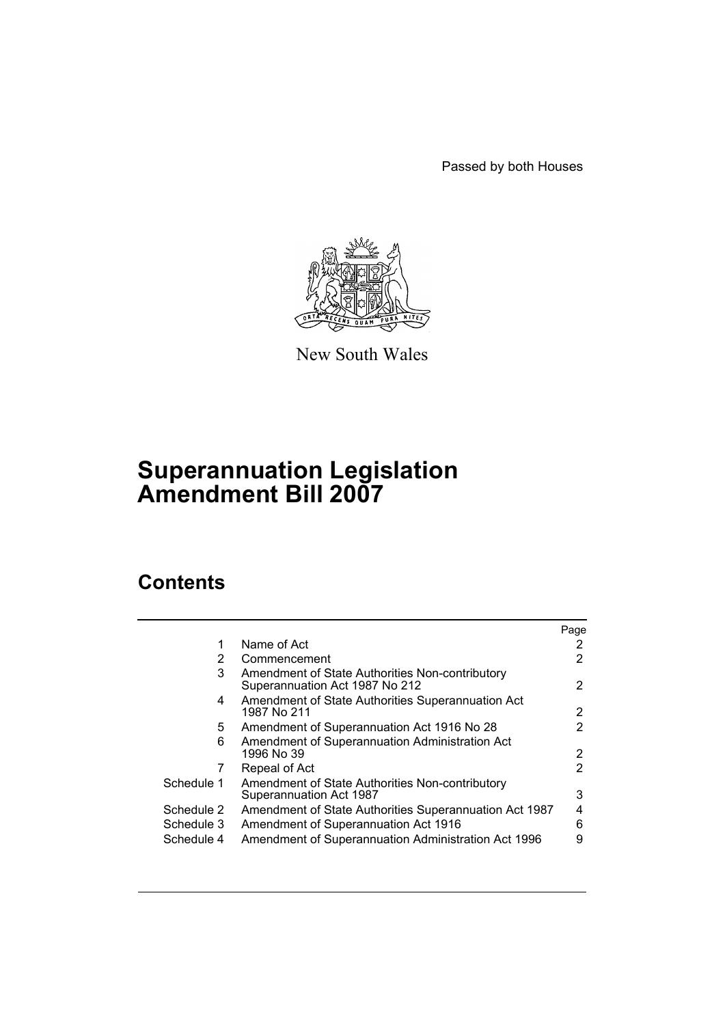Passed by both Houses



New South Wales

# **Superannuation Legislation Amendment Bill 2007**

# **Contents**

| Name of Act<br>1<br>2<br>Commencement<br>3<br>Amendment of State Authorities Non-contributory<br>Superannuation Act 1987 No 212                                                                 | Page        |
|-------------------------------------------------------------------------------------------------------------------------------------------------------------------------------------------------|-------------|
|                                                                                                                                                                                                 |             |
|                                                                                                                                                                                                 | 2           |
|                                                                                                                                                                                                 | 2           |
| Amendment of State Authorities Superannuation Act<br>4<br>1987 No 211                                                                                                                           | 2           |
| Amendment of Superannuation Act 1916 No 28<br>5.                                                                                                                                                | 2           |
| Amendment of Superannuation Administration Act<br>6<br>1996 No 39                                                                                                                               | 2           |
| Repeal of Act<br>7                                                                                                                                                                              | 2           |
| Schedule 1<br>Amendment of State Authorities Non-contributory<br>Superannuation Act 1987                                                                                                        | 3           |
| Schedule 2<br>Amendment of State Authorities Superannuation Act 1987<br>Amendment of Superannuation Act 1916<br>Schedule 3<br>Amendment of Superannuation Administration Act 1996<br>Schedule 4 | 4<br>6<br>9 |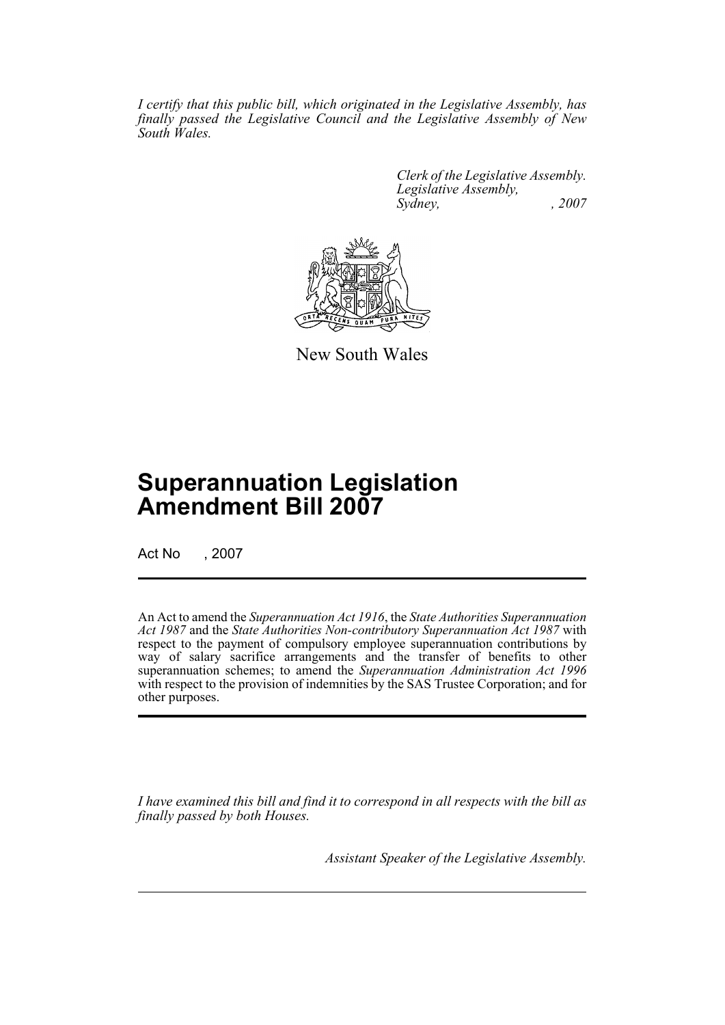*I certify that this public bill, which originated in the Legislative Assembly, has finally passed the Legislative Council and the Legislative Assembly of New South Wales.*

> *Clerk of the Legislative Assembly. Legislative Assembly, Sydney, , 2007*



New South Wales

# **Superannuation Legislation Amendment Bill 2007**

Act No , 2007

An Act to amend the *Superannuation Act 1916*, the *State Authorities Superannuation Act 1987* and the *State Authorities Non-contributory Superannuation Act 1987* with respect to the payment of compulsory employee superannuation contributions by way of salary sacrifice arrangements and the transfer of benefits to other superannuation schemes; to amend the *Superannuation Administration Act 1996* with respect to the provision of indemnities by the SAS Trustee Corporation; and for other purposes.

*I have examined this bill and find it to correspond in all respects with the bill as finally passed by both Houses.*

*Assistant Speaker of the Legislative Assembly.*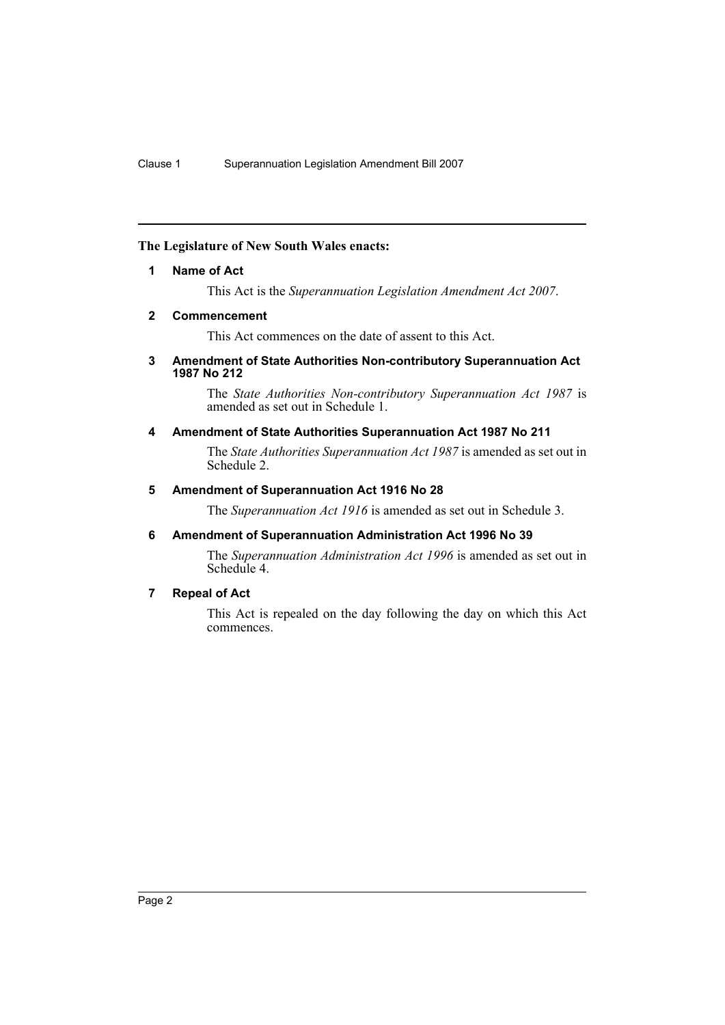## <span id="page-2-0"></span>**The Legislature of New South Wales enacts:**

### **1 Name of Act**

This Act is the *Superannuation Legislation Amendment Act 2007*.

### <span id="page-2-1"></span>**2 Commencement**

This Act commences on the date of assent to this Act.

#### <span id="page-2-2"></span>**3 Amendment of State Authorities Non-contributory Superannuation Act 1987 No 212**

The *State Authorities Non-contributory Superannuation Act 1987* is amended as set out in Schedule 1.

### <span id="page-2-3"></span>**4 Amendment of State Authorities Superannuation Act 1987 No 211**

The *State Authorities Superannuation Act 1987* is amended as set out in Schedule 2.

### <span id="page-2-4"></span>**5 Amendment of Superannuation Act 1916 No 28**

The *Superannuation Act 1916* is amended as set out in Schedule 3.

## <span id="page-2-5"></span>**6 Amendment of Superannuation Administration Act 1996 No 39**

The *Superannuation Administration Act 1996* is amended as set out in Schedule 4.

# <span id="page-2-6"></span>**7 Repeal of Act**

This Act is repealed on the day following the day on which this Act commences.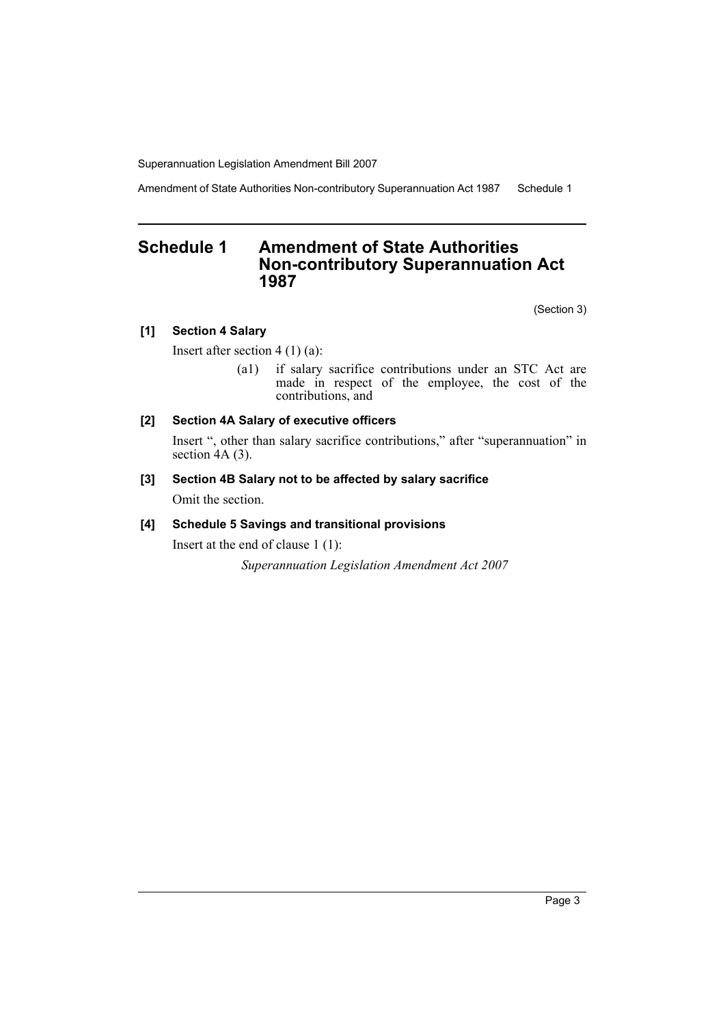Amendment of State Authorities Non-contributory Superannuation Act 1987 Schedule 1

# <span id="page-3-0"></span>**Schedule 1 Amendment of State Authorities Non-contributory Superannuation Act 1987**

(Section 3)

# **[1] Section 4 Salary**

Insert after section 4 (1) (a):

(a1) if salary sacrifice contributions under an STC Act are made in respect of the employee, the cost of the contributions, and

# **[2] Section 4A Salary of executive officers**

Insert ", other than salary sacrifice contributions," after "superannuation" in section 4A (3).

# **[3] Section 4B Salary not to be affected by salary sacrifice**

Omit the section.

## **[4] Schedule 5 Savings and transitional provisions**

Insert at the end of clause 1 (1):

*Superannuation Legislation Amendment Act 2007*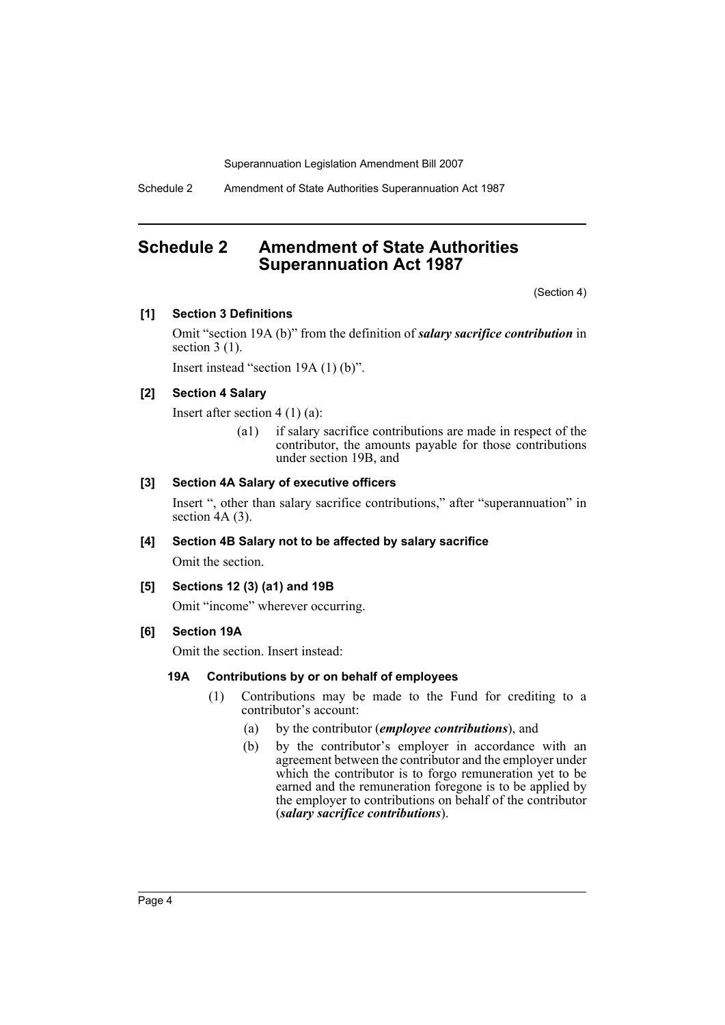Schedule 2 Amendment of State Authorities Superannuation Act 1987

# <span id="page-4-0"></span>**Schedule 2 Amendment of State Authorities Superannuation Act 1987**

(Section 4)

## **[1] Section 3 Definitions**

Omit "section 19A (b)" from the definition of *salary sacrifice contribution* in section  $3(1)$ .

Insert instead "section 19A (1) (b)".

## **[2] Section 4 Salary**

Insert after section 4 (1) (a):

(a1) if salary sacrifice contributions are made in respect of the contributor, the amounts payable for those contributions under section 19B, and

#### **[3] Section 4A Salary of executive officers**

Insert ", other than salary sacrifice contributions," after "superannuation" in section 4A (3).

### **[4] Section 4B Salary not to be affected by salary sacrifice**

Omit the section.

#### **[5] Sections 12 (3) (a1) and 19B**

Omit "income" wherever occurring.

#### **[6] Section 19A**

Omit the section. Insert instead:

#### **19A Contributions by or on behalf of employees**

- (1) Contributions may be made to the Fund for crediting to a contributor's account:
	- (a) by the contributor (*employee contributions*), and
	- (b) by the contributor's employer in accordance with an agreement between the contributor and the employer under which the contributor is to forgo remuneration yet to be earned and the remuneration foregone is to be applied by the employer to contributions on behalf of the contributor (*salary sacrifice contributions*).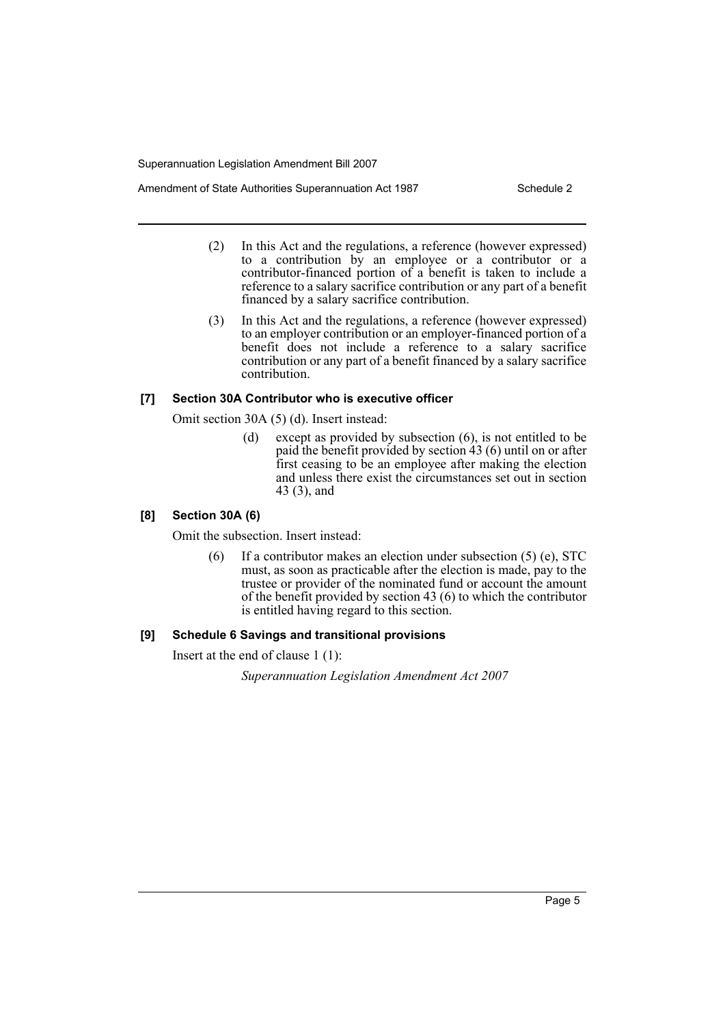- Amendment of State Authorities Superannuation Act 1987 Schedule 2
	- (2) In this Act and the regulations, a reference (however expressed) to a contribution by an employee or a contributor or a contributor-financed portion of a benefit is taken to include a reference to a salary sacrifice contribution or any part of a benefit financed by a salary sacrifice contribution.
	- (3) In this Act and the regulations, a reference (however expressed) to an employer contribution or an employer-financed portion of a benefit does not include a reference to a salary sacrifice contribution or any part of a benefit financed by a salary sacrifice contribution.

## **[7] Section 30A Contributor who is executive officer**

Omit section 30A (5) (d). Insert instead:

(d) except as provided by subsection (6), is not entitled to be paid the benefit provided by section 43 (6) until on or after first ceasing to be an employee after making the election and unless there exist the circumstances set out in section 43 (3), and

## **[8] Section 30A (6)**

Omit the subsection. Insert instead:

 $(6)$  If a contributor makes an election under subsection  $(5)$  (e), STC must, as soon as practicable after the election is made, pay to the trustee or provider of the nominated fund or account the amount of the benefit provided by section 43 (6) to which the contributor is entitled having regard to this section.

## **[9] Schedule 6 Savings and transitional provisions**

Insert at the end of clause 1 (1):

*Superannuation Legislation Amendment Act 2007*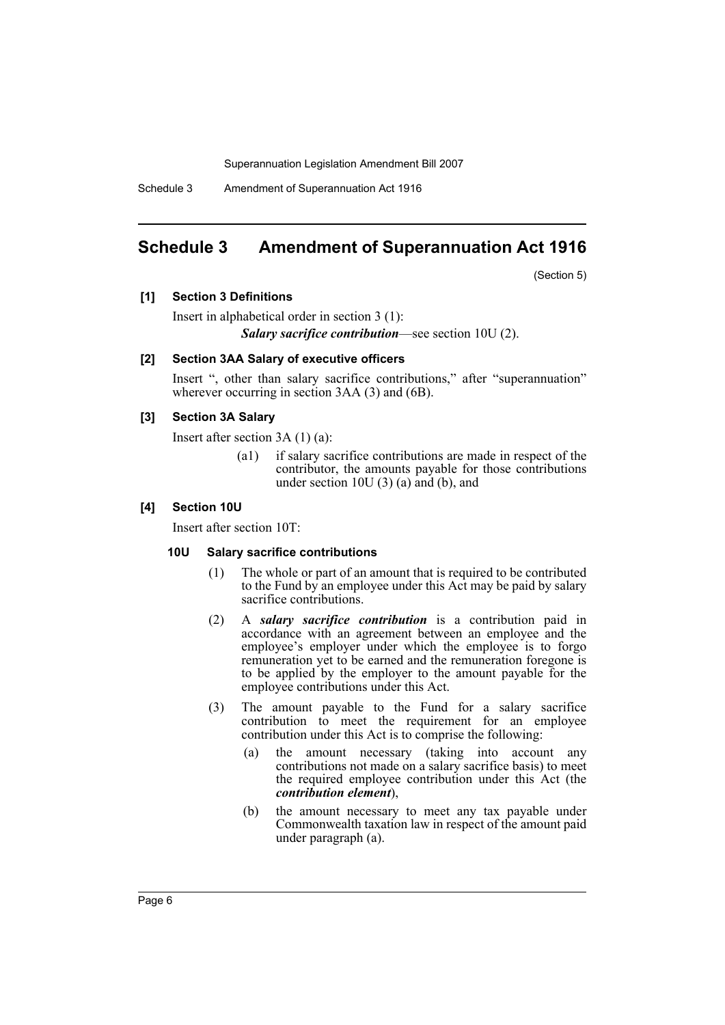Schedule 3 Amendment of Superannuation Act 1916

# <span id="page-6-0"></span>**Schedule 3 Amendment of Superannuation Act 1916**

(Section 5)

**[1] Section 3 Definitions**

Insert in alphabetical order in section 3 (1): *Salary sacrifice contribution*—see section 10U (2).

#### **[2] Section 3AA Salary of executive officers**

Insert ", other than salary sacrifice contributions," after "superannuation" wherever occurring in section 3AA (3) and (6B).

### **[3] Section 3A Salary**

Insert after section 3A (1) (a):

(a1) if salary sacrifice contributions are made in respect of the contributor, the amounts payable for those contributions under section 10U (3) (a) and (b), and

#### **[4] Section 10U**

Insert after section 10T:

#### **10U Salary sacrifice contributions**

- (1) The whole or part of an amount that is required to be contributed to the Fund by an employee under this Act may be paid by salary sacrifice contributions.
- (2) A *salary sacrifice contribution* is a contribution paid in accordance with an agreement between an employee and the employee's employer under which the employee is to forgo remuneration yet to be earned and the remuneration foregone is to be applied by the employer to the amount payable for the employee contributions under this Act.
- (3) The amount payable to the Fund for a salary sacrifice contribution to meet the requirement for an employee contribution under this Act is to comprise the following:
	- (a) the amount necessary (taking into account any contributions not made on a salary sacrifice basis) to meet the required employee contribution under this Act (the *contribution element*),
	- (b) the amount necessary to meet any tax payable under Commonwealth taxation law in respect of the amount paid under paragraph (a).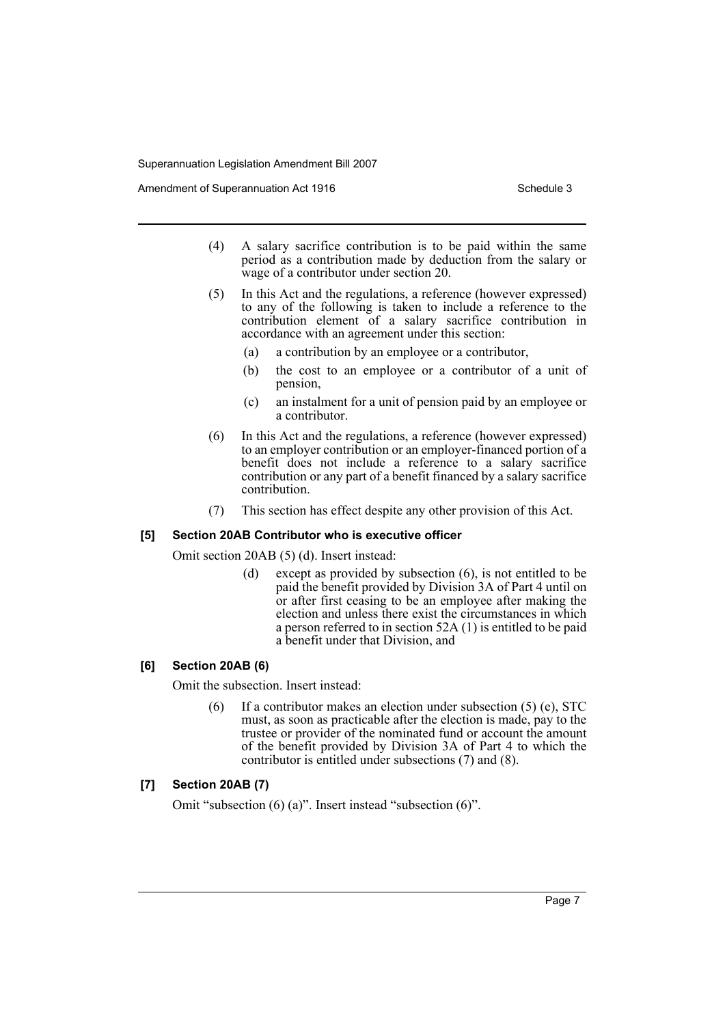Amendment of Superannuation Act 1916 Schedule 3

- (4) A salary sacrifice contribution is to be paid within the same period as a contribution made by deduction from the salary or wage of a contributor under section 20.
- (5) In this Act and the regulations, a reference (however expressed) to any of the following is taken to include a reference to the contribution element of a salary sacrifice contribution in accordance with an agreement under this section:
	- (a) a contribution by an employee or a contributor,
	- (b) the cost to an employee or a contributor of a unit of pension,
	- (c) an instalment for a unit of pension paid by an employee or a contributor.
- (6) In this Act and the regulations, a reference (however expressed) to an employer contribution or an employer-financed portion of a benefit does not include a reference to a salary sacrifice contribution or any part of a benefit financed by a salary sacrifice contribution.
- (7) This section has effect despite any other provision of this Act.

#### **[5] Section 20AB Contributor who is executive officer**

Omit section 20AB (5) (d). Insert instead:

(d) except as provided by subsection (6), is not entitled to be paid the benefit provided by Division 3A of Part 4 until on or after first ceasing to be an employee after making the election and unless there exist the circumstances in which a person referred to in section 52A (1) is entitled to be paid a benefit under that Division, and

#### **[6] Section 20AB (6)**

Omit the subsection. Insert instead:

(6) If a contributor makes an election under subsection (5) (e), STC must, as soon as practicable after the election is made, pay to the trustee or provider of the nominated fund or account the amount of the benefit provided by Division 3A of Part 4 to which the contributor is entitled under subsections (7) and (8).

## **[7] Section 20AB (7)**

Omit "subsection (6) (a)". Insert instead "subsection (6)".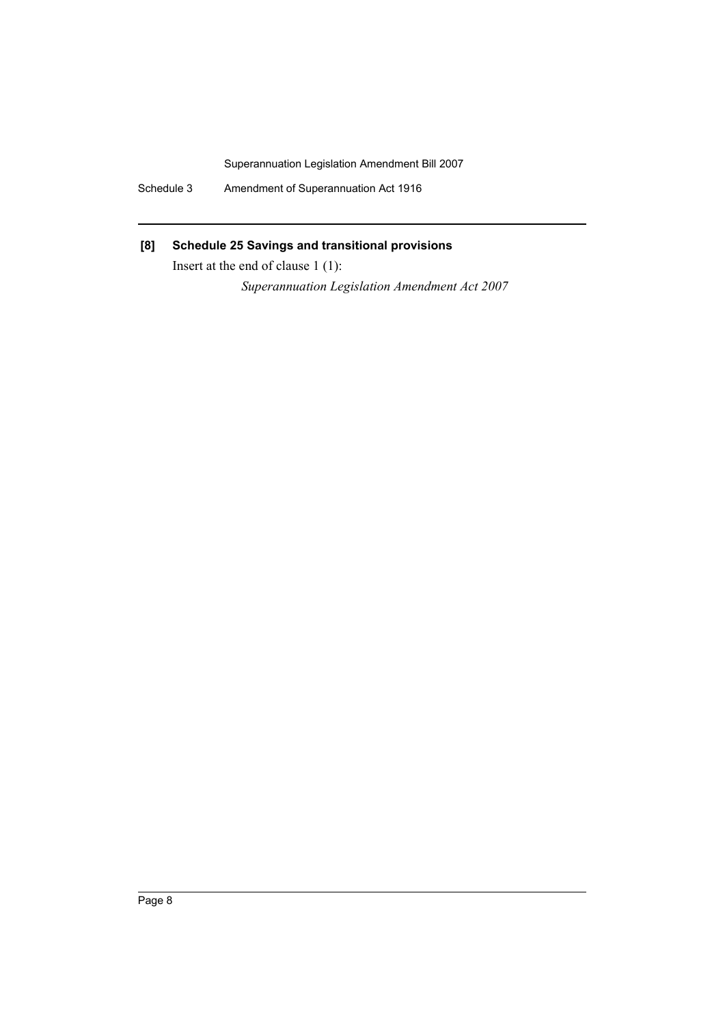Schedule 3 Amendment of Superannuation Act 1916

# **[8] Schedule 25 Savings and transitional provisions**

Insert at the end of clause 1 (1):

*Superannuation Legislation Amendment Act 2007*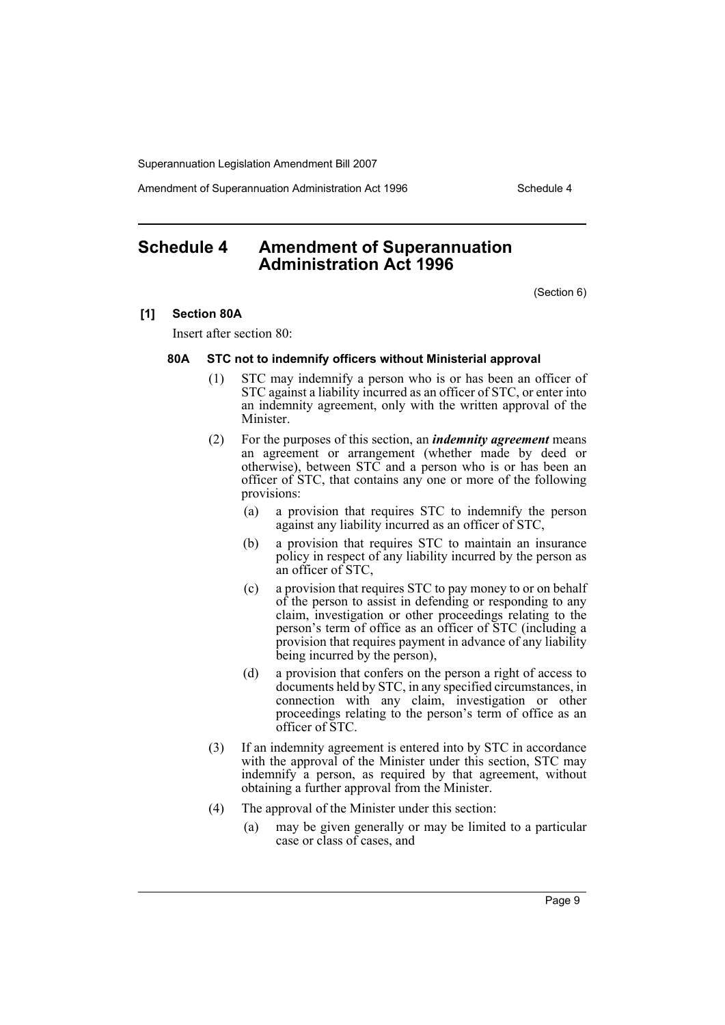Amendment of Superannuation Administration Act 1996 Schedule 4

# <span id="page-9-0"></span>**Schedule 4 Amendment of Superannuation Administration Act 1996**

(Section 6)

#### **[1] Section 80A**

Insert after section 80:

#### **80A STC not to indemnify officers without Ministerial approval**

- (1) STC may indemnify a person who is or has been an officer of STC against a liability incurred as an officer of STC, or enter into an indemnity agreement, only with the written approval of the Minister.
- (2) For the purposes of this section, an *indemnity agreement* means an agreement or arrangement (whether made by deed or otherwise), between STC and a person who is or has been an officer of STC, that contains any one or more of the following provisions:
	- (a) a provision that requires STC to indemnify the person against any liability incurred as an officer of STC,
	- (b) a provision that requires STC to maintain an insurance policy in respect of any liability incurred by the person as an officer of STC,
	- (c) a provision that requires STC to pay money to or on behalf of the person to assist in defending or responding to any claim, investigation or other proceedings relating to the person's term of office as an officer of STC (including a provision that requires payment in advance of any liability being incurred by the person),
	- (d) a provision that confers on the person a right of access to documents held by STC, in any specified circumstances, in connection with any claim, investigation or other proceedings relating to the person's term of office as an officer of STC.
- (3) If an indemnity agreement is entered into by STC in accordance with the approval of the Minister under this section, STC may indemnify a person, as required by that agreement, without obtaining a further approval from the Minister.
- (4) The approval of the Minister under this section:
	- (a) may be given generally or may be limited to a particular case or class of cases, and